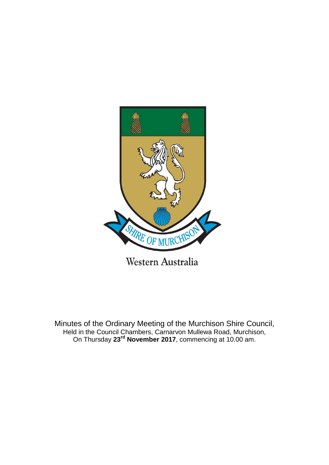

Minutes of the Ordinary Meeting of the Murchison Shire Council, Held in the Council Chambers, Carnarvon Mullewa Road, Murchison, On Thursday **23rd November 2017**, commencing at 10.00 am.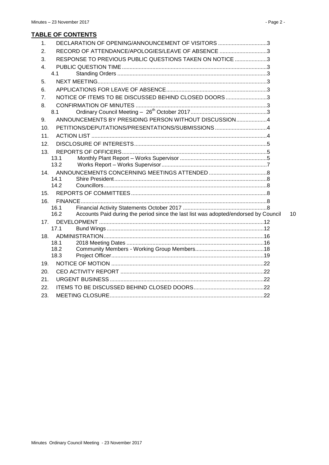| 1 <sub>1</sub> | DECLARATION OF OPENING/ANNOUNCEMENT OF VISITORS 3                                           |    |
|----------------|---------------------------------------------------------------------------------------------|----|
| 2.             | RECORD OF ATTENDANCE/APOLOGIES/LEAVE OF ABSENCE 3                                           |    |
| 3.             | RESPONSE TO PREVIOUS PUBLIC QUESTIONS TAKEN ON NOTICE 3                                     |    |
| 4.             |                                                                                             |    |
|                | 4.1                                                                                         |    |
| 5.             |                                                                                             |    |
| 6.             |                                                                                             |    |
| 7.             | NOTICE OF ITEMS TO BE DISCUSSED BEHIND CLOSED DOORS 3                                       |    |
| 8.             |                                                                                             |    |
|                | 8.1                                                                                         |    |
| 9.             | ANNOUNCEMENTS BY PRESIDING PERSON WITHOUT DISCUSSION4                                       |    |
| 10.            |                                                                                             |    |
| 11.            |                                                                                             |    |
| 12.            |                                                                                             |    |
| 13.            |                                                                                             |    |
|                | 13.1                                                                                        |    |
|                | 13.2                                                                                        |    |
| 14.            | 14.1                                                                                        |    |
|                | 14.2                                                                                        |    |
| 15.            |                                                                                             |    |
| 16.            |                                                                                             |    |
|                | 16.1                                                                                        |    |
|                | 16.2<br>Accounts Paid during the period since the last list was adopted/endorsed by Council | 10 |
| 17.            |                                                                                             |    |
|                | 17.1                                                                                        |    |
| 18.            |                                                                                             |    |
|                | 18.1<br>18.2                                                                                |    |
|                | 18.3                                                                                        |    |
| 19.            |                                                                                             |    |
| 20.            |                                                                                             |    |
| 21.            |                                                                                             |    |
| 22.            |                                                                                             |    |
| 23.            |                                                                                             |    |
|                |                                                                                             |    |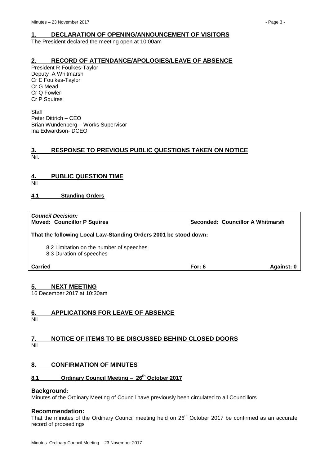# <span id="page-2-0"></span>**1. DECLARATION OF OPENING/ANNOUNCEMENT OF VISITORS**

The President declared the meeting open at 10:00am

## <span id="page-2-1"></span>**2. RECORD OF ATTENDANCE/APOLOGIES/LEAVE OF ABSENCE**

President R Foulkes-Taylor Deputy A Whitmarsh Cr E Foulkes-Taylor Cr G Mead Cr Q Fowler Cr P Squires

**Staff** Peter Dittrich – CEO Brian Wundenberg – Works Supervisor Ina Edwardson- DCEO

#### <span id="page-2-2"></span>**3. RESPONSE TO PREVIOUS PUBLIC QUESTIONS TAKEN ON NOTICE** Nil.

# <span id="page-2-3"></span>**4. PUBLIC QUESTION TIME**

Nil

# <span id="page-2-4"></span>**4.1 Standing Orders**

| <b>Council Decision:</b><br><b>Moved: Councillor P Squires</b>       |          | Seconded: Councillor A Whitmarsh |
|----------------------------------------------------------------------|----------|----------------------------------|
| That the following Local Law-Standing Orders 2001 be stood down:     |          |                                  |
| 8.2 Limitation on the number of speeches<br>8.3 Duration of speeches |          |                                  |
| Carried                                                              | For: $6$ | Against: 0                       |

# <span id="page-2-5"></span>**5. NEXT MEETING**

16 December 2017 at 10:30am

# <span id="page-2-6"></span>**6. APPLICATIONS FOR LEAVE OF ABSENCE**

Nil

#### <span id="page-2-7"></span>**7. NOTICE OF ITEMS TO BE DISCUSSED BEHIND CLOSED DOORS** Nil

# <span id="page-2-8"></span>**8. CONFIRMATION OF MINUTES**

# <span id="page-2-9"></span>**8.1 Ordinary Council Meeting – 26th October 2017**

### **Background:**

Minutes of the Ordinary Meeting of Council have previously been circulated to all Councillors.

### **Recommendation:**

That the minutes of the Ordinary Council meeting held on 26<sup>th</sup> October 2017 be confirmed as an accurate record of proceedings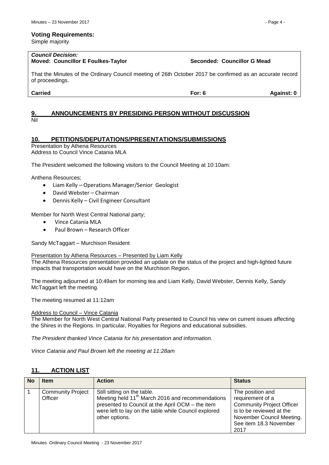#### **Voting Requirements:**

Simple majority

#### *Council Decision:* **Moved: Councillor E Foulkes-Taylor Seconded: Councillor G Mead**

That the Minutes of the Ordinary Council meeting of 26th October 2017 be confirmed as an accurate record of proceedings.

#### <span id="page-3-0"></span>**9. ANNOUNCEMENTS BY PRESIDING PERSON WITHOUT DISCUSSION** Nil

# <span id="page-3-1"></span>**10. PETITIONS/DEPUTATIONS/PRESENTATIONS/SUBMISSIONS**

Presentation by Athena Resources

Address to Council Vince Catania MLA

The President welcomed the following visitors to the Council Meeting at 10:10am:

Anthena Resources;

- Liam Kelly Operations Manager/Senior Geologist
- David Webster Chairman
- Dennis Kelly Civil Engineer Consultant

Member for North West Central National party;

- Vince Catania MLA
- Paul Brown Research Officer

Sandy McTaggart – Murchison Resident

#### Presentation by Athena Resources – Presented by Liam Kelly

The Athena Resources presentation provided an update on the status of the project and high-lighted future impacts that transportation would have on the Murchison Region.

The meeting adjourned at 10:49am for morning tea and Liam Kelly, David Webster, Dennis Kelly, Sandy McTaggart left the meeting.

The meeting resumed at 11:12am

#### Address to Council – Vince Catania

The Member for North West Central National Party presented to Council his view on current issues affecting the Shires in the Regions. In particular, Royalties for Regions and educational subsidies.

*The President thanked Vince Catania for his presentation and information.*

*Vince Catania and Paul Brown left the meeting at 11:28am*

# <span id="page-3-2"></span>**11. ACTION LIST**

| <b>No</b> | <b>Item</b>                         | <b>Action</b>                                                                                                                                                                                                             | <b>Status</b>                                                                                                                                                       |
|-----------|-------------------------------------|---------------------------------------------------------------------------------------------------------------------------------------------------------------------------------------------------------------------------|---------------------------------------------------------------------------------------------------------------------------------------------------------------------|
|           | <b>Community Project</b><br>Officer | Still sitting on the table.<br>Meeting held 11 <sup>th</sup> March 2016 and recommendations<br>presented to Council at the April OCM - the item<br>were left to lay on the table while Council explored<br>other options. | The position and<br>requirement of a<br><b>Community Project Officer</b><br>is to be reviewed at the<br>November Council Meeting.<br>See item 18.3 November<br>2017 |

**Carried For: 6 Against: 0**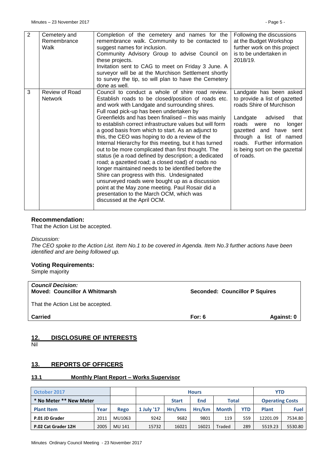| 2 | Cemetery and<br>Remembrance<br>Walk | Completion of the cemetery and names for the<br>remembrance walk. Community to be contacted to<br>suggest names for inclusion.<br>Community Advisory Group to advise Council on<br>these projects.<br>Invitation sent to CAG to meet on Friday 3 June. A<br>surveyor will be at the Murchison Settlement shortly<br>to survey the tip, so will plan to have the Cemetery<br>done as well.                                                                                                                                                                                                                                                                                                                                                                                                                                                                                                                                                              | Following the discussions<br>at the Budget Workshop<br>further work on this project<br>is to be undertaken in<br>2018/19.                                                                                                                                                          |
|---|-------------------------------------|--------------------------------------------------------------------------------------------------------------------------------------------------------------------------------------------------------------------------------------------------------------------------------------------------------------------------------------------------------------------------------------------------------------------------------------------------------------------------------------------------------------------------------------------------------------------------------------------------------------------------------------------------------------------------------------------------------------------------------------------------------------------------------------------------------------------------------------------------------------------------------------------------------------------------------------------------------|------------------------------------------------------------------------------------------------------------------------------------------------------------------------------------------------------------------------------------------------------------------------------------|
| 3 | Review of Road<br><b>Network</b>    | Council to conduct a whole of shire road review.<br>Establish roads to be closed/position of roads etc.<br>and work with Landgate and surrounding shires.<br>Full road pick-up has been undertaken by<br>Greenfields and has been finalised - this was mainly<br>to establish correct infrastructure values but will form<br>a good basis from which to start. As an adjunct to<br>this, the CEO was hoping to do a review of the<br>Internal Hierarchy for this meeting, but it has turned<br>out to be more complicated than first thought. The<br>status (ie a road defined by description; a dedicated<br>road; a gazetted road; a closed road) of roads no<br>longer maintained needs to be identified before the<br>Shire can progress with this. Undesignated<br>unsurveyed roads were bought up as a discussion<br>point at the May zone meeting. Paul Rosair did a<br>presentation to the March OCM, which was<br>discussed at the April OCM. | Landgate has been asked<br>to provide a list of gazetted<br>roads Shire of Murchison<br>Landgate<br>advised<br>that<br>roads were<br>longer<br>no<br>gazetted and have sent<br>through a list of named<br>roads. Further information<br>is being sort on the gazettal<br>of roads. |

### **Recommendation:**

That the Action List be accepted.

#### *Discussion:*

*The CEO spoke to the Action List. Item No.1 to be covered in Agenda. Item No.3 further actions have been identified and are being followed up.*

#### **Voting Requirements:**

Simple majority

| <b>Council Decision:</b><br><b>Moved: Councillor A Whitmarsh</b> | <b>Seconded: Councillor P Squires</b> |            |
|------------------------------------------------------------------|---------------------------------------|------------|
| That the Action List be accepted.                                |                                       |            |
| <b>Carried</b>                                                   | For: $6$                              | Against: 0 |

# <span id="page-4-0"></span>**12. DISCLOSURE OF INTERESTS**

Nil

# <span id="page-4-1"></span>**13. REPORTS OF OFFICERS**

### <span id="page-4-2"></span>**13.1 Monthly Plant Report – Works Supervisor**

| October 2017            |      |        |            | <b>Hours</b> |            |              |            | <b>YTD</b>             |             |  |
|-------------------------|------|--------|------------|--------------|------------|--------------|------------|------------------------|-------------|--|
| * No Meter ** New Meter |      |        |            | <b>Start</b> | <b>End</b> | <b>Total</b> |            | <b>Operating Costs</b> |             |  |
| <b>Plant Item</b>       | Year | Rego   | 1 July '17 | Hrs/kms      | Hrs/km     | <b>Month</b> | <b>YTD</b> | <b>Plant</b>           | <b>Fuel</b> |  |
| P.01 JD Grader          | 2011 | MU1063 | 9242       | 9682         | 9801       | 119          | 559        | 12201.09               | 7534.80     |  |
| P.02 Cat Grader 12H     | 2005 | MU 141 | 15732      | 16021        | 16021      | Traded       | 289        | 5519.23                | 5530.80     |  |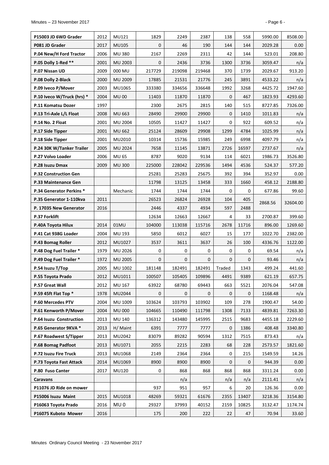| P15003 JD 6WD Grader            | 2012 | MU121           | 1829         | 2249   | 2387         | 138          | 558          | 5990.00 | 8508.00           |
|---------------------------------|------|-----------------|--------------|--------|--------------|--------------|--------------|---------|-------------------|
| P081 JD Grader                  | 2017 | MU105           | 0            | 46     | 190          | 144          | 144          | 2029.28 | 0.00 <sub>1</sub> |
| P.04 New/H Ford Tractor         | 2006 | <b>MU380</b>    | 2167         | 2269   | 2311         | 42           | 144          | 523.01  | 208.80            |
| P.05 Dolly 1-Red **             | 2001 | MU 2003         | 0            | 2436   | 3736         | 1300         | 3736         | 3059.47 | n/a               |
| P.07 Nissan UD                  | 2009 | 000 MU          | 217729       | 219098 | 219468       | 370          | 1739         | 2029.67 | 913.20            |
| P.08 Dolly 2-Black              | 2000 | MU 2009         | 17885        | 21531  | 21776        | 245          | 3891         | 4533.22 | n/a               |
| P.09 Iveco P/Mover              | 2003 | MU1065          | 333380       | 334656 | 336648       | 1992         | 3268         | 4425.72 | 1947.60           |
| P.10 Iveco W/Truck (hrs) *      | 2004 | <b>MU00</b>     | 11403        | 11870  | 11870        | 0            | 467          | 1823.93 | 4293.60           |
| P.11 Komatsu Dozer              | 1997 |                 | 2300         | 2675   | 2815         | 140          | 515          | 8727.85 | 7326.00           |
| P.13 Tri-Axle L/L Float         | 2008 | <b>MU 663</b>   | 28490        | 29900  | 29900        | $\mathbf 0$  | 1410         | 1011.83 | n/a               |
| P.14 No. 2 Float                | 2001 | <b>MU 2004</b>  | 10505        | 11427  | 11427        | 0            | 922          | 609.52  | n/a               |
| P.17 Side Tipper                | 2001 | <b>MU 662</b>   | 25124        | 28609  | 29908        | 1299         | 4784         | 1025.99 | n/a               |
| P.18 Side Tipper                | 2001 | MU2010          | 10314        | 15736  | 15985        | 249          | 6998         | 4097.79 | n/a               |
| P.24 30K W/Tanker Trailer       | 2005 | <b>MU 2024</b>  | 7658         | 11145  | 13871        | 2726         | 16597        | 2737.67 | n/a               |
| P.27 Volvo Loader               | 2006 | MU 65           | 8787         | 9020   | 9134         | 114          | 6021         | 1986.73 | 3526.80           |
| P.28 Isuzu Dmax                 | 2009 | <b>MU300</b>    | 225000       | 228042 | 229536       | 1494         | 4536         | 524.37  | 577.20            |
| <b>P.32 Construction Gen</b>    |      |                 | 25281        | 25283  | 25675        | 392          | 394          | 352.97  | 0.00              |
| P.33 Maintenance Gen            |      |                 | 11798        | 13125  | 13458        | 333          | 1660         | 458.12  | 2188.80           |
| <b>P.34 Generator Perkins *</b> |      | Mechanic        | 1744         | 1744   | 1744         | 0            | 0            | 677.86  | 99.60             |
| P.35 Generator 1-110kva         | 2011 |                 | 26523        | 26824  | 26928        | 104          | 405          | 2868.56 | 32604.00          |
| P. 17035 New Generator          | 2016 |                 | 2446         | 4337   | 4934         | 597          | 2488         |         |                   |
| P.37 Forklift                   |      |                 | 12634        | 12663  | 12667        | 4            | 33           | 2700.87 | 399.60            |
| P.40A Toyota Hilux              | 2014 | 01MU            | 104000       | 113038 | 115716       | 2678         | 11716        | 896.00  | 1269.60           |
| P.41 Cat 938G Loader            | 2004 | MU 193          | 5850         | 6012   | 6027         | 15           | 177          | 1022.70 | 2382.00           |
| P.43 Bomag Roller               | 2012 | MU1027          | 3537         | 3611   | 3637         | 26           | 100          | 4336.76 | 1122.00           |
| P.48 Dog Fuel Trailer *         | 1979 | MU 2026         | 0            | 0      | 0            | 0            | 0            | 69.54   | n/a               |
| P.49 Dog Fuel Trailer *         | 1972 | MU 2005         | $\mathbf{0}$ | 0      | $\mathbf{0}$ | $\mathbf{0}$ | $\mathbf{0}$ | 93.46   | n/a               |
| P.54 Isuzu T/Top                | 2005 | MU 1002         | 181148       | 182491 | 182491       | Traded       | 1343         | 499.24  | 441.60            |
| P.55 Toyota Prado               | 2012 | MU1011          | 100507       | 105405 | 109896       | 4491         | 9389         | 621.19  | 657.75            |
| P.57 Great Wall                 | 2012 | MU 167          | 63922        | 68780  | 69443        | 663          | 5521         | 2076.04 | 547.08            |
| P.59 45ft Flat Top *            | 1978 | MU2044          | 0            | 0      | $\mathbf{0}$ | 0            | 0            | 1168.48 | n/a               |
| P.60 Mercedes PTV               | 2004 | MU 1009         | 103624       | 103793 | 103902       | 109          | 278          | 1900.47 | 54.00             |
| P.61 Kenworth P/Mover           | 2004 | <b>MU 000</b>   | 104665       | 110490 | 111798       | 1308         | 7133         | 4839.81 | 7263.30           |
| P.64 Isuzu Construction         | 2013 | MU 140          | 136312       | 143480 | 145995       | 2515         | 9683         | 4455.18 | 2229.60           |
| P.65 Generator 9KVA *           | 2013 | H/ Maint        | 6391         | 7777   | 7777         | 0            | 1386         | 408.48  | 3340.80           |
| P.67 Roadwest S/Tipper          | 2013 | MU2042          | 83079        | 89282  | 90594        | 1312         | 7515         | 873.43  | n/a               |
| P.68 Bomag Padfoot              | 2013 | MU1071          | 2055         | 2215   | 2283         | 68           | 228          | 2573.57 | 1821.60           |
| P.72 Isuzu Fire Truck           | 2013 | MU1068          | 2149         | 2364   | 2364         | 0            | 215          | 1549.59 | 14.26             |
| P.73 Toyota Fast Attack         | 2014 | MU1069          | 8900         | 8900   | 8900         | 0            | 0            | 944.39  | 0.00              |
| P.80 Fuso Canter                | 2017 | <b>MU120</b>    | 0            | 868    | 868          | 868          | 868          | 3311.24 | 0.00              |
| Caravans                        |      |                 |              | n/a    |              | n/a          | n/a          | 2111.41 | n/a               |
| P11076 JD Ride on mower         |      |                 | 937          | 951    | 957          | 6            | 20           | 126.36  | 0.00              |
| P15006 Isuzu Maint              | 2015 | MU1018          | 48269        | 59321  | 61676        | 2355         | 13407        | 3218.36 | 3154.80           |
| P16063 Toyota Prado             | 2016 | MU <sub>0</sub> | 29327        | 37993  | 40152        | 2159         | 10825        | 3132.47 | 1174.74           |
| P16075 Kuboto Mower             | 2016 |                 | 175          | 200    | 222          | 22           | 47           | 70.94   | 33.60             |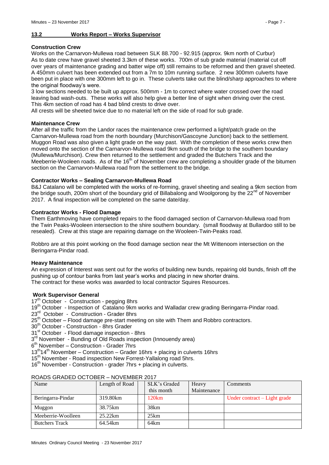# <span id="page-6-0"></span>**13.2 Works Report – Works Supervisor**

#### **Construction Crew**

Works on the Carnarvon-Mullewa road between SLK 88.700 - 92.915 (approx. 9km north of Curbur) As to date crew have gravel sheeted 3.3km of these works. 700m of sub grade material (material cut off over years of maintenance grading and batter wipe off) still remains to be reformed and then gravel sheeted. A 450mm culvert has been extended out from a 7m to 10m running surface. 2 new 300mm culverts have been put in place with one 300mm left to go in. These culverts take out the blind/sharp approaches to where the original floodway's were.

3 low sections needed to be built up approx. 500mm - 1m to correct where water crossed over the road leaving bad wash-outs. These works will also help give a better line of sight when driving over the crest. This 4km section of road has 4 bad blind crests to drive over.

All crests will be sheeted twice due to no material left on the side of road for sub grade.

#### **Maintenance Crew**

After all the traffic from the Landor races the maintenance crew performed a light/patch grade on the Carnarvon-Mullewa road from the north boundary (Murchison/Gascoyne Junction) back to the settlement. Muggon Road was also given a light grade on the way past. With the completion of these works crew then moved onto the section of the Carnarvon-Mullewa road 9km south of the bridge to the southern boundary (Mullewa/Murchison). Crew then returned to the settlement and graded the Butchers Track and the Meeberrie-Wooleen roads. As of the  $16<sup>th</sup>$  of November crew are completing a shoulder grade of the bitumen section on the Carnaryon-Mullewa road from the settlement to the bridge.

#### **Contractor Works – Sealing Carnarvon-Mullewa Road**

B&J Catalano will be completed with the works of re-forming, gravel sheeting and sealing a 9km section from the bridge south, 200m short of the boundary grid of Billabalong and Woolgorong by the 22<sup>nd</sup> of November 2017. A final inspection will be completed on the same date/day.

#### **Contractor Works - Flood Damage**

Them Earthmoving have completed repairs to the flood damaged section of Carnarvon-Mullewa road from the Twin Peaks-Wooleen intersection to the shire southern boundary. (small floodway at Bullardoo still to be resealed). Crew at this stage are repairing damage on the Wooleen-Twin-Peaks road.

Robbro are at this point working on the flood damage section near the Mt Wittenoom intersection on the Beringarra-Pindar road.

### **Heavy Maintenance**

An expression of Interest was sent out for the works of building new bunds, repairing old bunds, finish off the pushing up of contour banks from last year's works and placing in new shorter drains. The contract for these works was awarded to local contractor Squires Resources.

#### **Work Supervisor General**

17<sup>th</sup> October - Construction - pegging 8hrs

- 19<sup>th</sup> October Inspection of Catalano 9km works and Walladar crew grading Beringarra-Pindar road.
- 23<sup>rd</sup> October Construction Grader 8hrs
- 25<sup>th</sup> October Flood damage pre-start meeting on site with Them and Robbro contractors.
- 30<sup>th</sup> October Construction 8hrs Grader
- 31<sup>st</sup> October Flood damage inspection 8hrs
- 3<sup>rd</sup> November Bunding of Old Roads inspection (Innouendy area)
- 6 th November Construction Grader 7hrs
- $13<sup>th</sup>14<sup>th</sup>$  November Construction Grader 16hrs + placing in culverts 16hrs
- 15<sup>th</sup> November Road inspection New Forrest-Yallalong road 5hrs.
- 16<sup>th</sup> November Construction grader 7hrs + placing in culverts.

| Name                  | Length of Road | SLK's Graded | Heavy       | Comments                     |
|-----------------------|----------------|--------------|-------------|------------------------------|
|                       |                | this month   | Maintenance |                              |
| Beringarra-Pindar     | 319.80km       | 120km        |             | Under contract – Light grade |
| Muggon                | 38.75km        | 38km         |             |                              |
| Meeberrie-Woolleen    | 25.22km        | 25km         |             |                              |
| <b>Butchers Track</b> | 64.54km        | 64km         |             |                              |

#### ROADS GRADED OCTOBER – NOVEMBER 2017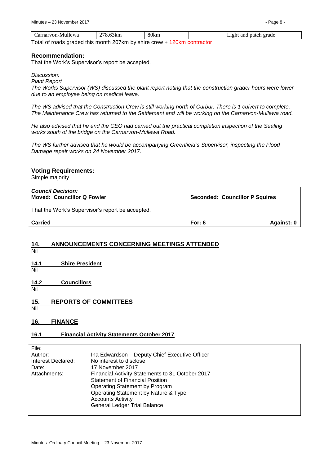| Carnarvon-Mullewa                                                         | 270<br>78.63km | 80km | Light and patch grade |
|---------------------------------------------------------------------------|----------------|------|-----------------------|
| Total of roade arealed this menth 207km by objec arous 1.420km contractor |                |      |                       |

Total of roads graded this month 207km by shire crew + 120km contractor

#### **Recommendation:**

That the Work's Supervisor's report be accepted.

*Discussion:*

*Plant Report*

*The Works Supervisor (WS) discussed the plant report noting that the construction grader hours were lower due to an employee being on medical leave.*

*The WS advised that the Construction Crew is still working north of Curbur. There is 1 culvert to complete. The Maintenance Crew has returned to the Settlement and will be working on the Carnarvon-Mullewa road.*

*He also advised that he and the CEO had carried out the practical completion inspection of the Sealing works south of the bridge on the Carnarvon-Mullewa Road.* 

*The WS further advised that he would be accompanying Greenfield's Supervisor, inspecting the Flood Damage repair works on 24 November 2017.*

### **Voting Requirements:**

Simple majority

| <b>Council Decision:</b><br><b>Moved: Councillor Q Fowler</b> | <b>Seconded: Councillor P Squires</b> |            |
|---------------------------------------------------------------|---------------------------------------|------------|
| That the Work's Supervisor's report be accepted.              |                                       |            |
| Carried                                                       | For: $6$                              | Against: 0 |
|                                                               |                                       |            |

# <span id="page-7-0"></span>**14. ANNOUNCEMENTS CONCERNING MEETINGS ATTENDED**

- Nil
- <span id="page-7-1"></span>**14.1 Shire President**
- Nil

<span id="page-7-2"></span>**14.2 Councillors** Nil

# <span id="page-7-3"></span>**15. REPORTS OF COMMITTEES**

Nil

# <span id="page-7-4"></span>**16. FINANCE**

### <span id="page-7-5"></span>**16.1 Financial Activity Statements October 2017**

| File:              |                                                  |
|--------------------|--------------------------------------------------|
| Author:            | Ina Edwardson - Deputy Chief Executive Officer   |
| Interest Declared: | No interest to disclose                          |
| Date:              | 17 November 2017                                 |
| Attachments:       | Financial Activity Statements to 31 October 2017 |
|                    | <b>Statement of Financial Position</b>           |
|                    | Operating Statement by Program                   |
|                    | Operating Statement by Nature & Type             |
|                    | <b>Accounts Activity</b>                         |
|                    | <b>General Ledger Trial Balance</b>              |
|                    |                                                  |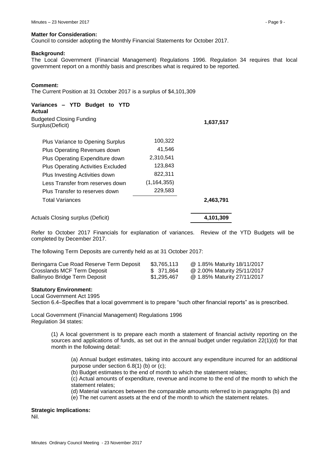#### **Matter for Consideration:**

Council to consider adopting the Monthly Financial Statements for October 2017.

#### **Background:**

The Local Government (Financial Management) Regulations 1996. Regulation 34 requires that local government report on a monthly basis and prescribes what is required to be reported.

| Variances - YTD Budget to YTD<br>Actual             |               |           |
|-----------------------------------------------------|---------------|-----------|
| <b>Budgeted Closing Funding</b><br>Surplus(Deficit) |               | 1,637,517 |
| Plus Variance to Opening Surplus                    | 100,322       |           |
| Plus Operating Revenues down                        | 41,546        |           |
| Plus Operating Expenditure down                     | 2,310,541     |           |
| <b>Plus Operating Activities Excluded</b>           | 123,843       |           |
| Plus Investing Activities down                      | 822,311       |           |
| Less Transfer from reserves down                    | (1, 164, 355) |           |
| Plus Transfer to reserves down                      | 229,583       |           |
| <b>Total Variances</b>                              |               | 2,463,791 |
| Actuals Closing surplus (Deficit)                   |               | 4,101,309 |

Refer to October 2017 Financials for explanation of variances. Review of the YTD Budgets will be completed by December 2017.

The following Term Deposits are currently held as at 31 October 2017:

| Beringarra Cue Road Reserve Term Deposit | \$3,765,113 | @ 1.85% Maturity 18/11/2017 |
|------------------------------------------|-------------|-----------------------------|
| Crosslands MCF Term Deposit              | \$371.864   | @ 2.00% Maturity 25/11/2017 |
| Ballinyoo Bridge Term Deposit            | \$1,295,467 | @ 1.85% Maturity 27/11/2017 |

#### **Statutory Environment:**

Local Government Act 1995

Section 6.4–Specifies that a local government is to prepare "such other financial reports" as is prescribed.

Local Government (Financial Management) Regulations 1996 Regulation 34 states:

> (1) A local government is to prepare each month a statement of financial activity reporting on the sources and applications of funds, as set out in the annual budget under regulation 22(1)(d) for that month in the following detail:

(a) Annual budget estimates, taking into account any expenditure incurred for an additional purpose under section 6.8(1) (b) or (c);

(b) Budget estimates to the end of month to which the statement relates;

(c) Actual amounts of expenditure, revenue and income to the end of the month to which the statement relates;

(d) Material variances between the comparable amounts referred to in paragraphs (b) and

(e) The net current assets at the end of the month to which the statement relates.

#### **Strategic Implications:**

Nil.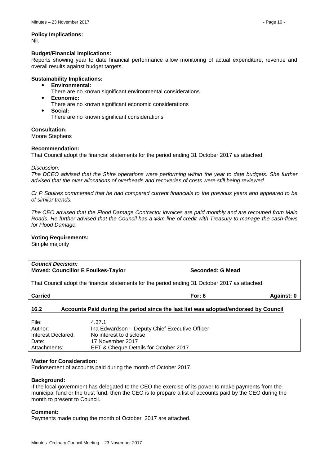# **Policy Implications:**

Nil.

#### **Budget/Financial Implications:**

Reports showing year to date financial performance allow monitoring of actual expenditure, revenue and overall results against budget targets.

### **Sustainability Implications:**

- **Environmental:**
	- There are no known significant environmental considerations
- **Economic:**
- There are no known significant economic considerations
- **Social:**

There are no known significant considerations

**Consultation:**

Moore Stephens

#### **Recommendation:**

That Council adopt the financial statements for the period ending 31 October 2017 as attached.

*Discussion:*

*The DCEO advised that the Shire operations were performing within the year to date budgets. She further advised that the over allocations of overheads and recoveries of costs were still being reviewed.*

*Cr P Squires commented that he had compared current financials to the previous years and appeared to be of similar trends.* 

*The CEO advised that the Flood Damage Contractor invoices are paid monthly and are recouped from Main Roads. He further advised that the Council has a \$3m line of credit with Treasury to manage the cash-flows for Flood Damage.*

#### **Voting Requirements:**

Simple majority

### *Council Decision:* **Moved: Councillor E Foulkes-Taylor Seconded: G Mead**

That Council adopt the financial statements for the period ending 31 October 2017 as attached.

**Carried For: 6 Against: 0**

### <span id="page-9-0"></span>**16.2 Accounts Paid during the period since the last list was adopted/endorsed by Council**

| File:              | 4.37.1                                         |
|--------------------|------------------------------------------------|
| Author:            | Ina Edwardson – Deputy Chief Executive Officer |
| Interest Declared: | No interest to disclose                        |
| Date:              | 17 November 2017                               |
| Attachments:       | EFT & Cheque Details for October 2017          |

#### **Matter for Consideration:**

Endorsement of accounts paid during the month of October 2017.

#### **Background:**

If the local government has delegated to the CEO the exercise of its power to make payments from the municipal fund or the trust fund, then the CEO is to prepare a list of accounts paid by the CEO during the month to present to Council.

#### **Comment:**

Payments made during the month of October 2017 are attached.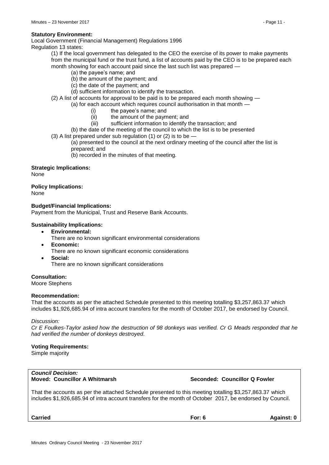#### **Statutory Environment:**

Local Government (Financial Management) Regulations 1996

Regulation 13 states:

(1) If the local government has delegated to the CEO the exercise of its power to make payments from the municipal fund or the trust fund, a list of accounts paid by the CEO is to be prepared each month showing for each account paid since the last such list was prepared -

- (a) the payee's name; and
- (b) the amount of the payment; and
- (c) the date of the payment; and
- (d) sufficient information to identify the transaction.
- (2) A list of accounts for approval to be paid is to be prepared each month showing —

(a) for each account which requires council authorisation in that month —

- (i) the payee's name; and
- (ii) the amount of the payment; and
- (iii) sufficient information to identify the transaction; and
- (b) the date of the meeting of the council to which the list is to be presented
- (3) A list prepared under sub regulation (1) or (2) is to be  $-$

(a) presented to the council at the next ordinary meeting of the council after the list is prepared; and

(b) recorded in the minutes of that meeting.

#### **Strategic Implications:**

None

**Policy Implications:** None

**Budget/Financial Implications:**

Payment from the Municipal, Trust and Reserve Bank Accounts.

#### **Sustainability Implications:**

- **Environmental:**
	- There are no known significant environmental considerations
- **Economic:**
	- There are no known significant economic considerations
- **Social:**

There are no known significant considerations

### **Consultation:**

Moore Stephens

#### **Recommendation:**

That the accounts as per the attached Schedule presented to this meeting totalling \$3,257,863.37 which includes \$1,926,685.94 of intra account transfers for the month of October 2017, be endorsed by Council.

#### *Discussion:*

*Cr E Foulkes-Taylor asked how the destruction of 98 donkeys was verified. Cr G Meads responded that he had verified the number of donkeys destroyed.* 

#### **Voting Requirements:**

Simple majority

# *Council Decision:*

### **Moved: Councillor A Whitmarsh <b>Seconded: Councillor Q Fowler** Seconded: Councillor Q Fowler

That the accounts as per the attached Schedule presented to this meeting totalling \$3,257,863.37 which includes \$1,926,685.94 of intra account transfers for the month of October 2017, be endorsed by Council.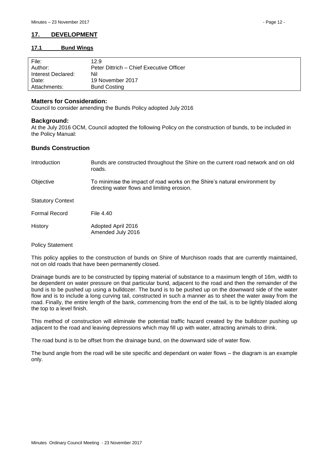# <span id="page-11-0"></span>**17. DEVELOPMENT**

#### <span id="page-11-1"></span>**17.1 Bund Wings**

| File:<br>Author:   | 12.9<br>Peter Dittrich – Chief Executive Officer |
|--------------------|--------------------------------------------------|
| Interest Declared: | Nil                                              |
| Date:              | 19 November 2017                                 |
| Attachments:       | <b>Bund Costing</b>                              |

#### **Matters for Consideration:**

Council to consider amending the Bunds Policy adopted July 2016

### **Background:**

At the July 2016 OCM, Council adopted the following Policy on the construction of bunds, to be included in the Policy Manual:

#### **Bunds Construction**

| <b>Introduction</b>      | Bunds are constructed throughout the Shire on the current road network and on old<br>roads.                               |
|--------------------------|---------------------------------------------------------------------------------------------------------------------------|
| Objective                | To minimise the impact of road works on the Shire's natural environment by<br>directing water flows and limiting erosion. |
| <b>Statutory Context</b> |                                                                                                                           |
| <b>Formal Record</b>     | File 4.40                                                                                                                 |
| History                  | Adopted April 2016<br>Amended July 2016                                                                                   |

#### Policy Statement

This policy applies to the construction of bunds on Shire of Murchison roads that are currently maintained, not on old roads that have been permanently closed.

Drainage bunds are to be constructed by tipping material of substance to a maximum length of 16m, width to be dependent on water pressure on that particular bund, adjacent to the road and then the remainder of the bund is to be pushed up using a bulldozer. The bund is to be pushed up on the downward side of the water flow and is to include a long curving tail, constructed in such a manner as to sheet the water away from the road. Finally, the entire length of the bank, commencing from the end of the tail, is to be lightly bladed along the top to a level finish.

This method of construction will eliminate the potential traffic hazard created by the bulldozer pushing up adjacent to the road and leaving depressions which may fill up with water, attracting animals to drink.

The road bund is to be offset from the drainage bund, on the downward side of water flow.

The bund angle from the road will be site specific and dependant on water flows – the diagram is an example only.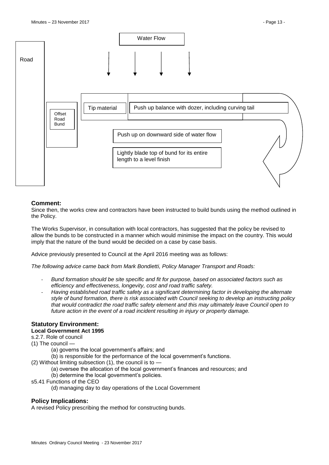

#### **Comment:**

Since then, the works crew and contractors have been instructed to build bunds using the method outlined in the Policy.

The Works Supervisor, in consultation with local contractors, has suggested that the policy be revised to allow the bunds to be constructed in a manner which would minimise the impact on the country. This would imply that the nature of the bund would be decided on a case by case basis.

Advice previously presented to Council at the April 2016 meeting was as follows:

*The following advice came back from Mark Bondietti, Policy Manager Transport and Roads:*

- *Bund formation should be site specific and fit for purpose, based on associated factors such as efficiency and effectiveness, longevity, cost and road traffic safety.*
- *Having established road traffic safety as a significant determining factor in developing the alternate style of bund formation, there is risk associated with Council seeking to develop an instructing policy that would contradict the road traffic safety element and this may ultimately leave Council open to future action in the event of a road incident resulting in injury or property damage.*

# **Statutory Environment:**

#### **Local Government Act 1995**

- s.2.7. Role of council
- (1) The council
	- (a) governs the local government's affairs; and
	- (b) is responsible for the performance of the local government's functions.
- (2) Without limiting subsection  $(1)$ , the council is to  $-$ 
	- (a) oversee the allocation of the local government's finances and resources; and
	- (b) determine the local government's policies.
- s5.41 Functions of the CEO
	- (d) managing day to day operations of the Local Government

### **Policy Implications:**

A revised Policy prescribing the method for constructing bunds.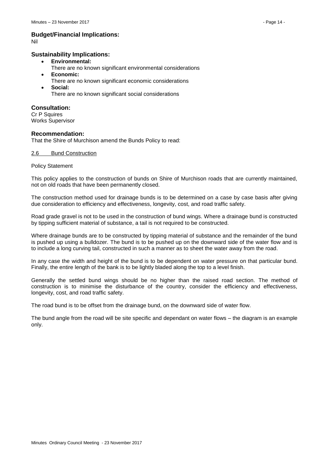# **Budget/Financial Implications:**

Nil

#### **Sustainability Implications:**

- **Environmental:**
	- There are no known significant environmental considerations
- **Economic:**
	- There are no known significant economic considerations
- **Social:** There are no known significant social considerations

### **Consultation:**

Cr P Squires Works Supervisor

#### **Recommendation:**

That the Shire of Murchison amend the Bunds Policy to read:

#### 2.6 Bund Construction

#### Policy Statement

This policy applies to the construction of bunds on Shire of Murchison roads that are currently maintained, not on old roads that have been permanently closed.

The construction method used for drainage bunds is to be determined on a case by case basis after giving due consideration to efficiency and effectiveness, longevity, cost, and road traffic safety.

Road grade gravel is not to be used in the construction of bund wings. Where a drainage bund is constructed by tipping sufficient material of substance, a tail is not required to be constructed.

Where drainage bunds are to be constructed by tipping material of substance and the remainder of the bund is pushed up using a bulldozer. The bund is to be pushed up on the downward side of the water flow and is to include a long curving tail, constructed in such a manner as to sheet the water away from the road.

In any case the width and height of the bund is to be dependent on water pressure on that particular bund. Finally, the entire length of the bank is to be lightly bladed along the top to a level finish.

Generally the settled bund wings should be no higher than the raised road section. The method of construction is to minimise the disturbance of the country, consider the efficiency and effectiveness, longevity, cost, and road traffic safety.

The road bund is to be offset from the drainage bund, on the downward side of water flow.

The bund angle from the road will be site specific and dependant on water flows – the diagram is an example only.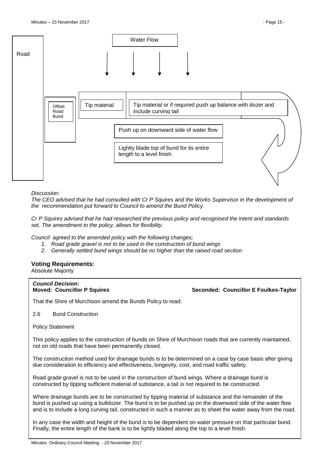

#### *Discussion:*

*The CEO advised that he had consulted with Cr P Squires and the Works Supervisor in the development of the recommendation put forward to Council to amend the Bund Policy.*

*Cr P Squires advised that he had researched the previous policy and recognised the intent and standards set. The amendment to the policy, allows for flexibility.*

*Council agreed to the amended policy with the following changes;*

- *1. Road grade gravel is not to be used in the construction of bund wings*
- *2. Generally settled bund wings should be no higher than the raised road section*

### **Voting Requirements:**

Absolute Majority

# *Council Decision:*

**Moved: Councillor P Squires Seconded: Councillor E Foulkes-Taylor**

That the Shire of Murchison amend the Bunds Policy to read:

2.6 Bund Construction

Policy Statement

This policy applies to the construction of bunds on Shire of Murchison roads that are currently maintained, not on old roads that have been permanently closed.

The construction method used for drainage bunds is to be determined on a case by case basis after giving due consideration to efficiency and effectiveness, longevity, cost, and road traffic safety.

Road grade gravel is not to be used in the construction of bund wings. Where a drainage bund is constructed by tipping sufficient material of substance, a tail is not required to be constructed.

Where drainage bunds are to be constructed by tipping material of substance and the remainder of the bund is pushed up using a bulldozer. The bund is to be pushed up on the downward side of the water flow and is to include a long curving tail, constructed in such a manner as to sheet the water away from the road.

In any case the width and height of the bund is to be dependent on water pressure on that particular bund. Finally, the entire length of the bank is to be lightly bladed along the top to a level finish.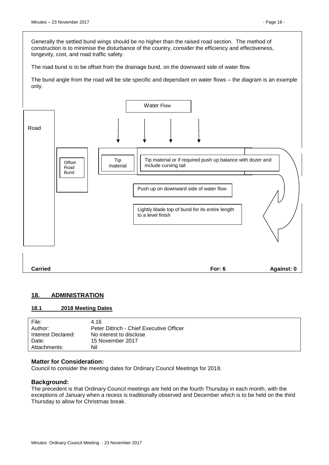Generally the settled bund wings should be no higher than the raised road section. The method of construction is to minimise the disturbance of the country, consider the efficiency and effectiveness, longevity, cost, and road traffic safety.

The road bund is to be offset from the drainage bund, on the downward side of water flow.

The bund angle from the road will be site specific and dependant on water flows – the diagram is an example only.



# <span id="page-15-0"></span>**18. ADMINISTRATION**

### <span id="page-15-1"></span>**18.1 2018 Meeting Dates**

| File:              | 4.16                                     |
|--------------------|------------------------------------------|
| Author:            | Peter Dittrich - Chief Executive Officer |
| Interest Declared: | No interest to disclose                  |
| Date:              | 15 November 2017                         |
| Attachments:       | Nil                                      |

#### **Matter for Consideration:**

Council to consider the meeting dates for Ordinary Council Meetings for 2018.

#### **Background:**

The precedent is that Ordinary Council meetings are held on the fourth Thursday in each month, with the exceptions of January when a recess is traditionally observed and December which is to be held on the third Thursday to allow for Christmas break.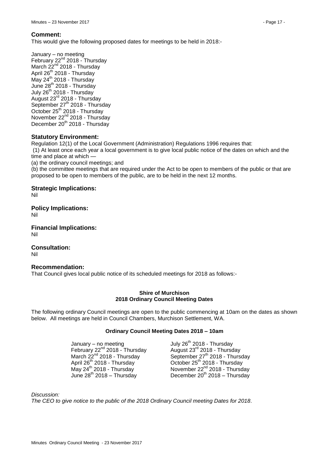#### **Comment:**

This would give the following proposed dates for meetings to be held in 2018:-

January – no meeting February 22<sup>nd</sup> 2018 - Thursday March  $22^{nd}$  2018 - Thursday April  $26^{th}$  2018 - Thursday May 24<sup>th</sup> 2018 - Thursday June  $28^{th}$  2018 - Thursday July 26<sup>th</sup> 2018 - Thursday August 23rd 2018 - Thursday September 27<sup>th</sup> 2018 - Thursday October 25<sup>th</sup> 2018 - Thursday November 22<sup>nd</sup> 2018 - Thursday December 20<sup>th</sup> 2018 - Thursday

### **Statutory Environment:**

Regulation 12(1) of the Local Government (Administration) Regulations 1996 requires that:

(1) At least once each year a local government is to give local public notice of the dates on which and the time and place at which -

(a) the ordinary council meetings; and

(b) the committee meetings that are required under the Act to be open to members of the public or that are proposed to be open to members of the public, are to be held in the next 12 months.

#### **Strategic Implications:**

Nil

**Policy Implications:**

Nil

**Financial Implications:** Nil

**Consultation:**

Nil

### **Recommendation:**

That Council gives local public notice of its scheduled meetings for 2018 as follows:-

#### **Shire of Murchison 2018 Ordinary Council Meeting Dates**

The following ordinary Council meetings are open to the public commencing at 10am on the dates as shown below. All meetings are held in Council Chambers, Murchison Settlement, WA.

#### **Ordinary Council Meeting Dates 2018 – 10am**

 $January - no meeting$ February 22<sup>nd</sup> 2018 - Thursday<br>March 22<sup>nd</sup> 2018 - Thursday June  $28^{th}$  2018 – Thursday

July 26<sup>th</sup> 2018 - Thursday August  $23^{\text{rd}}$  2018 - Thursday March  $22^{nd}$  2018 - Thursday  $\overline{a}$  September 27<sup>th</sup> 2018 - Thursday April 26<sup>th</sup> 2018 - Thursday May 24<sup>th</sup> 2018 - Thursday May 24<sup>th</sup> 2018 - Thursday October  $25<sup>th</sup>$  2018 - Thursday November 22<sup>nd</sup> 2018 - Thursday December  $20^{th}$  2018 – Thursday

*Discussion:*

*The CEO to give notice to the public of the 2018 Ordinary Council meeting Dates for 2018.*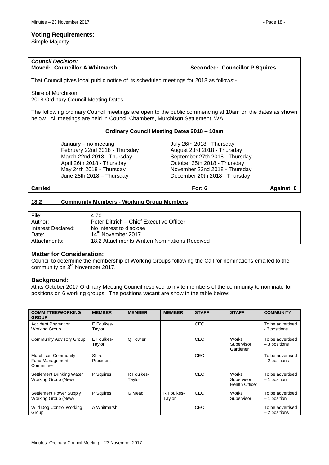Simple Majority

# *Council Decision:*

**Moved: Councillor A Whitmarsh <b>Seconded: Councillor P Squires** Seconded: Councillor P Squires

That Council gives local public notice of its scheduled meetings for 2018 as follows:-

Shire of Murchison 2018 Ordinary Council Meeting Dates

The following ordinary Council meetings are open to the public commencing at 10am on the dates as shown below. All meetings are held in Council Chambers, Murchison Settlement, WA.

### **Ordinary Council Meeting Dates 2018 – 10am**

January – no meeting July 26th 2018 - Thursday February 22nd 2018 - Thursday August 23rd 2018 - Thursday March 22nd 2018 - Thursday September 27th 2018 - Thursday April 26th 2018 - Thursday October 25th 2018 - Thursday May 24th 2018 - Thursday November 22nd 2018 - Thursday June 28th 2018 – Thursday December 20th 2018 - Thursday

### **Carried For: 6 Against: 0**

# <span id="page-17-0"></span>**18.2 Community Members - Working Group Members**

| File:              | 4.70                                          |
|--------------------|-----------------------------------------------|
| Author:            | Peter Dittrich – Chief Executive Officer      |
| Interest Declared: | No interest to disclose                       |
| Date:              | 14 <sup>th</sup> November 2017                |
| Attachments:       | 18.2 Attachments Written Nominations Received |

#### **Matter for Consideration:**

Council to determine the membership of Working Groups following the Call for nominations emailed to the community on 3<sup>rd</sup> November 2017.

#### **Background:**

At its October 2017 Ordinary Meeting Council resolved to invite members of the community to nominate for positions on 6 working groups. The positions vacant are show in the table below:

| <b>COMMITTEE/WORKING</b><br><b>GROUP</b>                   | <b>MEMBER</b>        | <b>MEMBER</b>        | <b>MEMBER</b>        | <b>STAFF</b> | <b>STAFF</b>                                 | <b>COMMUNITY</b>                   |
|------------------------------------------------------------|----------------------|----------------------|----------------------|--------------|----------------------------------------------|------------------------------------|
| <b>Accident Prevention</b><br><b>Working Group</b>         | E Foulkes-<br>Taylor |                      |                      | CEO          |                                              | To be advertised<br>- 3 positions  |
| <b>Community Advisory Group</b>                            | E Foulkes-<br>Taylor | Q Fowler             |                      | CEO          | <b>Works</b><br>Supervisor<br>Gardener       | To be advertised<br>$-3$ positions |
| Murchison Community<br><b>Fund Management</b><br>Committee | Shire<br>President   |                      |                      | CEO          |                                              | To be advertised<br>- 2 positions  |
| Settlement Drinking Water<br>Working Group (New)           | P Squires            | R Foulkes-<br>Taylor |                      | CEO          | Works<br>Supervisor<br><b>Health Officer</b> | To be advertised<br>- 1 position   |
| Settlement Power Supply<br>Working Group (New)             | P Squires            | G Mead               | R Foulkes-<br>Taylor | CEO          | <b>Works</b><br>Supervisor                   | To be advertised<br>- 1 position   |
| Wild Dog Control Working<br>Group                          | A Whitmarsh          |                      |                      | <b>CEO</b>   |                                              | To be advertised<br>- 2 positions  |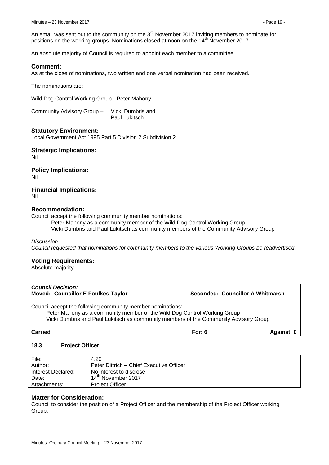An email was sent out to the community on the  $3<sup>rd</sup>$  November 2017 inviting members to nominate for positions on the working groups. Nominations closed at noon on the 14<sup>th</sup> November 2017.

An absolute majority of Council is required to appoint each member to a committee.

#### **Comment:**

As at the close of nominations, two written and one verbal nomination had been received.

The nominations are:

Wild Dog Control Working Group - Peter Mahony

Community Advisory Group – Vicki Dumbris and Paul Lukitsch

#### **Statutory Environment:**

Local Government Act 1995 Part 5 Division 2 Subdivision 2

#### **Strategic Implications:**

Nil

# **Policy Implications:**

Nil

#### **Financial Implications:** Nil

### **Recommendation:**

Council accept the following community member nominations:

Peter Mahony as a community member of the Wild Dog Control Working Group

Vicki Dumbris and Paul Lukitsch as community members of the Community Advisory Group

*Discussion:*

*Council requested that nominations for community members to the various Working Groups be readvertised.*

#### **Voting Requirements:**

Absolute majority

| <b>Council Decision:</b><br><b>Moved: Councillor E Foulkes-Taylor</b>                                                                                                                                                          | Seconded: Councillor A Whitmarsh |            |
|--------------------------------------------------------------------------------------------------------------------------------------------------------------------------------------------------------------------------------|----------------------------------|------------|
| Council accept the following community member nominations:<br>Peter Mahony as a community member of the Wild Dog Control Working Group<br>Vicki Dumbris and Paul Lukitsch as community members of the Community Advisory Group |                                  |            |
| <b>Carried</b>                                                                                                                                                                                                                 | For: $6$                         | Against: 0 |
|                                                                                                                                                                                                                                |                                  |            |

#### <span id="page-18-0"></span>**18.3 Project Officer**

| File:              | 4.20                                     |
|--------------------|------------------------------------------|
| Author:            | Peter Dittrich - Chief Executive Officer |
| Interest Declared: | No interest to disclose                  |
| Date:              | 14 <sup>th</sup> November 2017           |
| Attachments:       | <b>Project Officer</b>                   |

#### **Matter for Consideration:**

Council to consider the position of a Project Officer and the membership of the Project Officer working Group.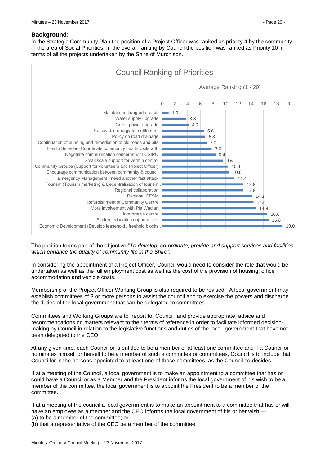#### **Background:**

In the Strategic Community Plan the position of a Project Officer was ranked as priority 4 by the community in the area of Social Priorities. In the overall ranking by Council the position was ranked as Priority 10 in terms of all the projects undertaken by the Shire of Murchison.



The position forms part of the objective "*To develop, co-ordinate, provide and support services and facilities which enhance the quality of community life in the Shire".*

In considering the appointment of a Project Officer, Council would need to consider the role that would be undertaken as well as the full employment cost as well as the cost of the provision of housing, office accommodation and vehicle costs.

Membership of the Project Officer Working Group is also required to be revised. A local government may establish committees of 3 or more persons to assist the council and to exercise the powers and discharge the duties of the local government that can be delegated to committees.

Committees and Working Groups are to report to Council and provide appropriate advice and recommendations on matters relevant to their terms of reference in order to facilitate informed decisionmaking by Council in relation to the legislative functions and duties of the local government that have not been delegated to the CEO.

At any given time, each Councillor is entitled to be a member of at least one committee and if a Councillor nominates himself or herself to be a member of such a committee or committees, Council is to include that Councillor in the persons appointed to at least one of those committees, as the Council so decides.

If at a meeting of the Council, a local government is to make an appointment to a committee that has or could have a Councillor as a Member and the President informs the local government of his wish to be a member of the committee, the local government is to appoint the President to be a member of the committee.

If at a meeting of the council a local government is to make an appointment to a committee that has or will have an employee as a member and the CEO informs the local government of his or her wish -

(a) to be a member of the committee; or

(b) that a representative of the CEO be a member of the committee,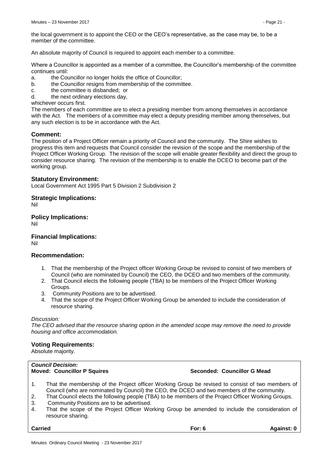the local government is to appoint the CEO or the CEO's representative, as the case may be, to be a member of the committee.

An absolute majority of Council is required to appoint each member to a committee.

Where a Councillor is appointed as a member of a committee, the Councillor's membership of the committee continues until:

- a. the Councillor no longer holds the office of Councillor;
- b. the Councillor resigns from membership of the committee.
- c. the committee is disbanded; or
- d. the next ordinary elections day,
- whichever occurs first.

The members of each committee are to elect a presiding member from among themselves in accordance with the Act. The members of a committee may elect a deputy presiding member among themselves, but any such election is to be in accordance with the Act.

#### **Comment:**

The position of a Project Officer remain a priority of Council and the community. The Shire wishes to progress this item and requests that Council consider the revision of the scope and the membership of the Project Officer Working Group. The revision of the scope will enable greater flexibility and direct the group to consider resource sharing. The revision of the membership is to enable the DCEO to become part of the working group.

#### **Statutory Environment:**

Local Government Act 1995 Part 5 Division 2 Subdivision 2

**Strategic Implications:**

Nil

**Policy Implications:** Nil

**Financial Implications:** Nil

### **Recommendation:**

- 1. That the membership of the Project officer Working Group be revised to consist of two members of Council (who are nominated by Council) the CEO, the DCEO and two members of the community.
- 2. That Council elects the following people (TBA) to be members of the Project Officer Working Groups.
- 3. Community Positions are to be advertised.
- 4. That the scope of the Project Officer Working Group be amended to include the consideration of resource sharing.

#### *Discussion:*

*The CEO advised that the resource sharing option in the amended scope may remove the need to provide housing and office accommodation.* 

#### **Voting Requirements:**

Absolute majority.

# *Council Decision:*

#### **Moved: Councillor P Squires Seconded: Councillor G Mead**

- 1. That the membership of the Project officer Working Group be revised to consist of two members of Council (who are nominated by Council) the CEO, the DCEO and two members of the community.
- 2. That Council elects the following people (TBA) to be members of the Project Officer Working Groups.
- 3. Community Positions are to be advertised.
- 4. That the scope of the Project Officer Working Group be amended to include the consideration of resource sharing.

**Carried For: 6 Against: 0**